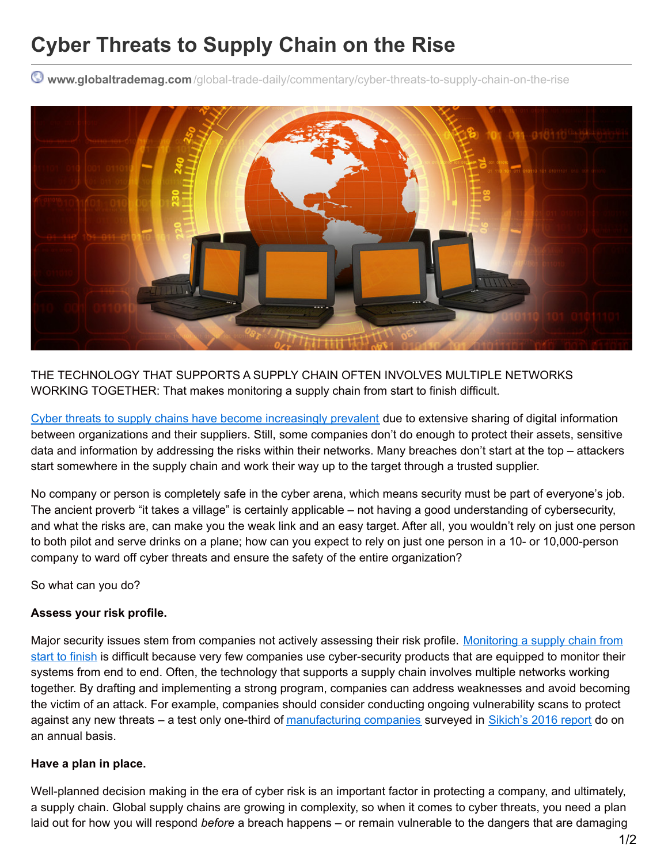# **Cyber Threats to Supply Chain on the Rise**

**www.globaltrademag.com**[/global-trade-daily/commentary/cyber-threats-to-supply-chain-on-the-rise](http://www.globaltrademag.com/global-trade-daily/commentary/cyber-threats-to-supply-chain-on-the-rise?utm_campaign=shareaholic&utm_medium=printfriendly&utm_source=tool)



THE TECHNOLOGY THAT SUPPORTS A SUPPLY CHAIN OFTEN INVOLVES MULTIPLE NETWORKS WORKING TOGETHER: That makes monitoring a supply chain from start to finish difficult.

Cyber threats to supply chains have become [increasingly](http://www.globaltrademag.com/global-trade-daily/news/cybersecurity-going-from-bad-to-worse) prevalent due to extensive sharing of digital information between organizations and their suppliers. Still, some companies don't do enough to protect their assets, sensitive data and information by addressing the risks within their networks. Many breaches don't start at the top – attackers start somewhere in the supply chain and work their way up to the target through a trusted supplier.

No company or person is completely safe in the cyber arena, which means security must be part of everyone's job. The ancient proverb "it takes a village" is certainly applicable – not having a good understanding of cybersecurity, and what the risks are, can make you the weak link and an easy target. After all, you wouldn't rely on just one person to both pilot and serve drinks on a plane; how can you expect to rely on just one person in a 10- or 10,000-person company to ward off cyber threats and ensure the safety of the entire organization?

So what can you do?

#### **Assess your risk profile.**

Major security issues stem from companies not actively assessing their risk profile. Monitoring a supply chain from start to finish is difficult because very few companies use [cyber-security](http://www.globaltrademag.com/software/cybersecurity-a-risk-on-the-high-seas) products that are equipped to monitor their systems from end to end. Often, the technology that supports a supply chain involves multiple networks working together. By drafting and implementing a strong program, companies can address weaknesses and avoid becoming the victim of an attack. For example, companies should consider conducting ongoing vulnerability scans to protect against any new threats – a test only one-third of [manufacturing](http://www.globaltrademag.com/global-trade-daily/news/manufacturers-unsure-about-iot-cybersecurity-protections) companies surveyed in [Sikich's](http://www.sikich.com/insights-resources/thought-leadership/whitepapers/manufacturing-report-2016) 2016 report do on an annual basis.

#### **Have a plan in place.**

Well-planned decision making in the era of cyber risk is an important factor in protecting a company, and ultimately, a supply chain. Global supply chains are growing in complexity, so when it comes to cyber threats, you need a plan laid out for how you will respond *before* a breach happens – or remain vulnerable to the dangers that are damaging